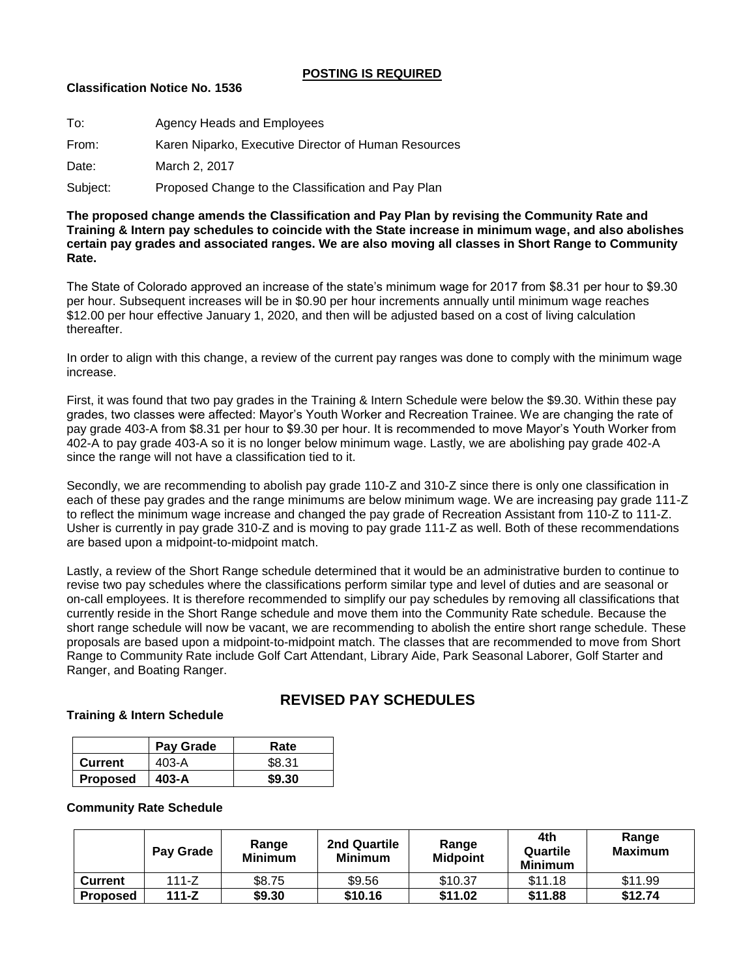#### **POSTING IS REQUIRED**

#### **Classification Notice No. 1536**

| To:      | Agency Heads and Employees                           |
|----------|------------------------------------------------------|
| From:    | Karen Niparko, Executive Director of Human Resources |
| Date:    | March 2, 2017                                        |
| Subject: | Proposed Change to the Classification and Pay Plan   |

**The proposed change amends the Classification and Pay Plan by revising the Community Rate and Training & Intern pay schedules to coincide with the State increase in minimum wage, and also abolishes certain pay grades and associated ranges. We are also moving all classes in Short Range to Community Rate.**

The State of Colorado approved an increase of the state's minimum wage for 2017 from \$8.31 per hour to \$9.30 per hour. Subsequent increases will be in \$0.90 per hour increments annually until minimum wage reaches \$12.00 per hour effective January 1, 2020, and then will be adjusted based on a cost of living calculation thereafter.

In order to align with this change, a review of the current pay ranges was done to comply with the minimum wage increase.

First, it was found that two pay grades in the Training & Intern Schedule were below the \$9.30. Within these pay grades, two classes were affected: Mayor's Youth Worker and Recreation Trainee. We are changing the rate of pay grade 403-A from \$8.31 per hour to \$9.30 per hour. It is recommended to move Mayor's Youth Worker from 402-A to pay grade 403-A so it is no longer below minimum wage. Lastly, we are abolishing pay grade 402-A since the range will not have a classification tied to it.

Secondly, we are recommending to abolish pay grade 110-Z and 310-Z since there is only one classification in each of these pay grades and the range minimums are below minimum wage. We are increasing pay grade 111-Z to reflect the minimum wage increase and changed the pay grade of Recreation Assistant from 110-Z to 111-Z. Usher is currently in pay grade 310-Z and is moving to pay grade 111-Z as well. Both of these recommendations are based upon a midpoint-to-midpoint match.

Lastly, a review of the Short Range schedule determined that it would be an administrative burden to continue to revise two pay schedules where the classifications perform similar type and level of duties and are seasonal or on-call employees. It is therefore recommended to simplify our pay schedules by removing all classifications that currently reside in the Short Range schedule and move them into the Community Rate schedule. Because the short range schedule will now be vacant, we are recommending to abolish the entire short range schedule. These proposals are based upon a midpoint-to-midpoint match. The classes that are recommended to move from Short Range to Community Rate include Golf Cart Attendant, Library Aide, Park Seasonal Laborer, Golf Starter and Ranger, and Boating Ranger.

## **REVISED PAY SCHEDULES**

# **Pay Grade** Rate **Current** | 403-A | \$8.31

**Proposed 403-A \$9.30**

#### **Community Rate Schedule**

**Training & Intern Schedule**

|                 | Pay Grade | Range<br><b>Minimum</b> | 2nd Quartile<br><b>Minimum</b> | Range<br><b>Midpoint</b> | 4th<br>Quartile<br><b>Minimum</b> | Range<br><b>Maximum</b> |
|-----------------|-----------|-------------------------|--------------------------------|--------------------------|-----------------------------------|-------------------------|
| <b>Current</b>  | $111 - Z$ | \$8.75                  | \$9.56                         | \$10.37                  | \$11.18                           | \$11.99                 |
| <b>Proposed</b> | $111 - Z$ | \$9.30                  | \$10.16                        | \$11.02                  | \$11.88                           | \$12.74                 |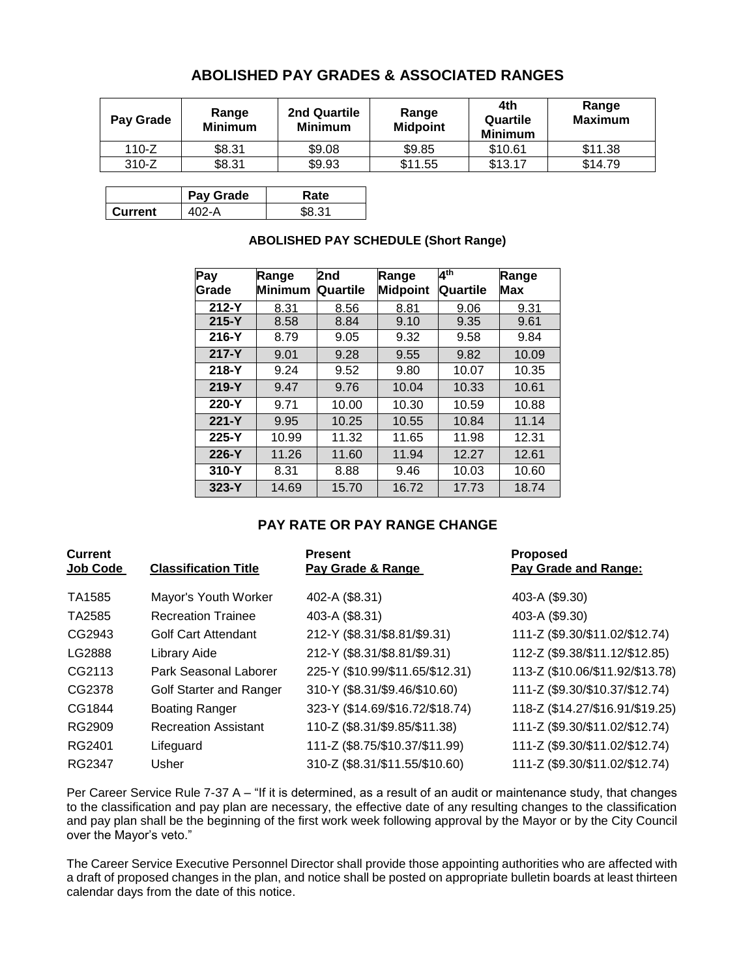### **ABOLISHED PAY GRADES & ASSOCIATED RANGES**

| Pay Grade | Range<br><b>Minimum</b> | 2nd Quartile<br><b>Minimum</b> | Range<br><b>Midpoint</b> | 4th<br>Quartile<br><b>Minimum</b> | Range<br><b>Maximum</b> |
|-----------|-------------------------|--------------------------------|--------------------------|-----------------------------------|-------------------------|
| $110-Z$   | \$8.31                  | \$9.08                         | \$9.85                   | \$10.61                           | \$11.38                 |
| $310-Z$   | \$8.31                  | \$9.93                         | \$11.55                  | \$13.17                           | \$14.79                 |

|         | Pay Grade | Rate |
|---------|-----------|------|
| Current |           |      |

| Pay<br>Grade | Range<br>Minimum | 2nd<br>Quartile | Range<br><b>Midpoint</b> | 4 <sup>th</sup><br><b>Quartile</b> | Range<br>Max |
|--------------|------------------|-----------------|--------------------------|------------------------------------|--------------|
| $212-Y$      | 8.31             | 8.56            | 8.81                     | 9.06                               | 9.31         |
| $215 - Y$    | 8.58             | 8.84            | 9.10                     | 9.35                               | 9.61         |
| $216-Y$      | 8.79             | 9.05            | 9.32                     | 9.58                               | 9.84         |
| $217 - Y$    | 9.01             | 9.28            | 9.55                     | 9.82                               | 10.09        |
| $218-Y$      | 9.24             | 9.52            | 9.80                     | 10.07                              | 10.35        |
| $219-Y$      | 9.47             | 9.76            | 10.04                    | 10.33                              | 10.61        |
| $220 - Y$    | 9.71             | 10.00           | 10.30                    | 10.59                              | 10.88        |
| $221 - Y$    | 9.95             | 10.25           | 10.55                    | 10.84                              | 11.14        |
| $225 - Y$    | 10.99            | 11.32           | 11.65                    | 11.98                              | 12.31        |
| $226 - Y$    | 11.26            | 11.60           | 11.94                    | 12.27                              | 12.61        |
| $310-Y$      | 8.31             | 8.88            | 9.46                     | 10.03                              | 10.60        |
| $323-Y$      | 14.69            | 15.70           | 16.72                    | 17.73                              | 18.74        |

#### **ABOLISHED PAY SCHEDULE (Short Range)**

### **PAY RATE OR PAY RANGE CHANGE**

| <b>Current</b><br>Job Code | <b>Classification Title</b> | <b>Present</b><br>Pay Grade & Range | <b>Proposed</b><br>Pay Grade and Range: |
|----------------------------|-----------------------------|-------------------------------------|-----------------------------------------|
| TA1585                     | Mayor's Youth Worker        | 402-A (\$8.31)                      | 403-A (\$9.30)                          |
| TA2585                     | <b>Recreation Trainee</b>   | 403-A (\$8.31)                      | 403-A (\$9.30)                          |
| CG2943                     | <b>Golf Cart Attendant</b>  | 212-Y (\$8.31/\$8.81/\$9.31)        | 111-Z (\$9.30/\$11.02/\$12.74)          |
| LG2888                     | Library Aide                | 212-Y (\$8.31/\$8.81/\$9.31)        | 112-Z (\$9.38/\$11.12/\$12.85)          |
| CG2113                     | Park Seasonal Laborer       | 225-Y (\$10.99/\$11.65/\$12.31)     | 113-Z (\$10.06/\$11.92/\$13.78)         |
| CG2378                     | Golf Starter and Ranger     | 310-Y (\$8.31/\$9.46/\$10.60)       | 111-Z (\$9.30/\$10.37/\$12.74)          |
| CG1844                     | <b>Boating Ranger</b>       | 323-Y (\$14.69/\$16.72/\$18.74)     | 118-Z (\$14.27/\$16.91/\$19.25)         |
| RG2909                     | <b>Recreation Assistant</b> | 110-Z (\$8.31/\$9.85/\$11.38)       | 111-Z (\$9.30/\$11.02/\$12.74)          |
| RG2401                     | Lifeguard                   | 111-Z (\$8.75/\$10.37/\$11.99)      | 111-Z (\$9.30/\$11.02/\$12.74)          |
| RG2347                     | Usher                       | 310-Z (\$8.31/\$11.55/\$10.60)      | 111-Z (\$9.30/\$11.02/\$12.74)          |

Per Career Service Rule 7-37 A – "If it is determined, as a result of an audit or maintenance study, that changes to the classification and pay plan are necessary, the effective date of any resulting changes to the classification and pay plan shall be the beginning of the first work week following approval by the Mayor or by the City Council over the Mayor's veto."

The Career Service Executive Personnel Director shall provide those appointing authorities who are affected with a draft of proposed changes in the plan, and notice shall be posted on appropriate bulletin boards at least thirteen calendar days from the date of this notice.